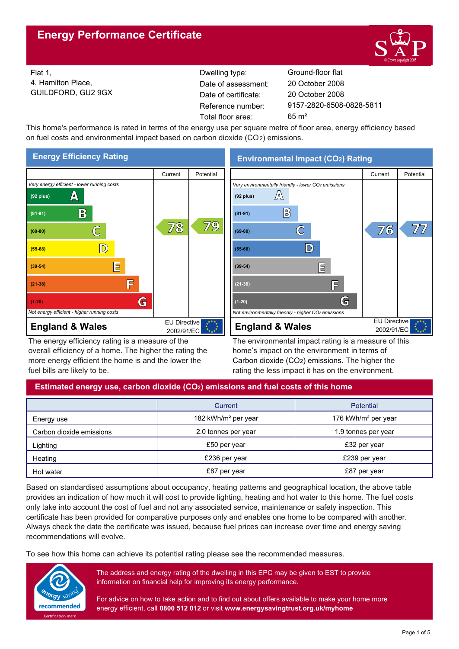

Flat 1, 4, Hamilton Place, GUILDFORD, GU2 9GX Reference number: Dwelling type: Ground-floor flat Date of certificate: Total floor area: 65 m² Date of assessment:

9157-2820-6508-0828-5811 20 October 2008 20 October 2008

This home's performance is rated in terms of the energy use per square metre of floor area, energy efficiency based on fuel costs and environmental impact based on carbon dioxide (CO2) emissions.



The energy efficiency rating is a measure of the overall efficiency of a home. The higher the rating the more energy efficient the home is and the lower the fuel bills are likely to be.

**Environmental Impact (CO2) Rating**



The environmental impact rating is a measure of this home's impact on the environment in terms of Carbon dioxide (CO2) emissions. The higher the rating the less impact it has on the environment.

# **Estimated energy use, carbon dioxide (CO2) emissions and fuel costs of this home**

|                          | Current                         | Potential                       |
|--------------------------|---------------------------------|---------------------------------|
| Energy use               | 182 kWh/m <sup>2</sup> per year | 176 kWh/m <sup>2</sup> per year |
| Carbon dioxide emissions | 2.0 tonnes per year             | 1.9 tonnes per year             |
| Lighting                 | £50 per year                    | £32 per year                    |
| Heating                  | £236 per year                   | £239 per year                   |
| Hot water                | £87 per year                    | £87 per year                    |

Based on standardised assumptions about occupancy, heating patterns and geographical location, the above table provides an indication of how much it will cost to provide lighting, heating and hot water to this home. The fuel costs only take into account the cost of fuel and not any associated service, maintenance or safety inspection. This certificate has been provided for comparative purposes only and enables one home to be compared with another. Always check the date the certificate was issued, because fuel prices can increase over time and energy saving recommendations will evolve.

To see how this home can achieve its potential rating please see the recommended measures.



The address and energy rating of the dwelling in this EPC may be given to EST to provide information on financial help for improving its energy performance.

For advice on how to take action and to find out about offers available to make your home more energy efficient, call **0800 512 012** or visit **www.energysavingtrust.org.uk/myhome**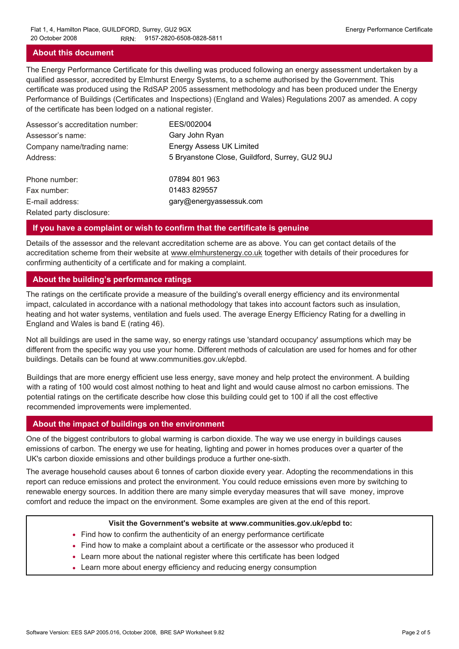## **About this document**

The Energy Performance Certificate for this dwelling was produced following an energy assessment undertaken by a qualified assessor, accredited by Elmhurst Energy Systems, to a scheme authorised by the Government. This certificate was produced using the RdSAP 2005 assessment methodology and has been produced under the Energy Performance of Buildings (Certificates and Inspections) (England and Wales) Regulations 2007 as amended. A copy of the certificate has been lodged on a national register.

| Assessor's accreditation number: | EES/002004                                     |
|----------------------------------|------------------------------------------------|
| Assessor's name:                 | Gary John Ryan                                 |
| Company name/trading name:       | <b>Energy Assess UK Limited</b>                |
| Address:                         | 5 Bryanstone Close, Guildford, Surrey, GU2 9UJ |
| Phone number:                    | 07894 801 963                                  |
| Fax number:                      | 01483 829557                                   |
| E-mail address:                  | gary@energyassessuk.com                        |
| Related party disclosure:        |                                                |

## **If you have a complaint or wish to confirm that the certificate is genuine**

Details of the assessor and the relevant accreditation scheme are as above. You can get contact details of the accreditation scheme from their website at www.elmhurstenergy.co.uk together with details of their procedures for confirming authenticity of a certificate and for making a complaint.

## **About the building's performance ratings**

The ratings on the certificate provide a measure of the building's overall energy efficiency and its environmental impact, calculated in accordance with a national methodology that takes into account factors such as insulation, heating and hot water systems, ventilation and fuels used. The average Energy Efficiency Rating for a dwelling in England and Wales is band E (rating 46).

Not all buildings are used in the same way, so energy ratings use 'standard occupancy' assumptions which may be different from the specific way you use your home. Different methods of calculation are used for homes and for other buildings. Details can be found at www.communities.gov.uk/epbd.

Buildings that are more energy efficient use less energy, save money and help protect the environment. A building with a rating of 100 would cost almost nothing to heat and light and would cause almost no carbon emissions. The potential ratings on the certificate describe how close this building could get to 100 if all the cost effective recommended improvements were implemented.

## **About the impact of buildings on the environment**

One of the biggest contributors to global warming is carbon dioxide. The way we use energy in buildings causes emissions of carbon. The energy we use for heating, lighting and power in homes produces over a quarter of the UK's carbon dioxide emissions and other buildings produce a further one-sixth.

The average household causes about 6 tonnes of carbon dioxide every year. Adopting the recommendations in this report can reduce emissions and protect the environment. You could reduce emissions even more by switching to renewable energy sources. In addition there are many simple everyday measures that will save money, improve comfort and reduce the impact on the environment. Some examples are given at the end of this report.

#### **Visit the Government's website at www.communities.gov.uk/epbd to:**

- Find how to confirm the authenticity of an energy performance certificate
- Find how to make a complaint about a certificate or the assessor who produced it •
- Learn more about the national register where this certificate has been lodged •
- Learn more about energy efficiency and reducing energy consumption •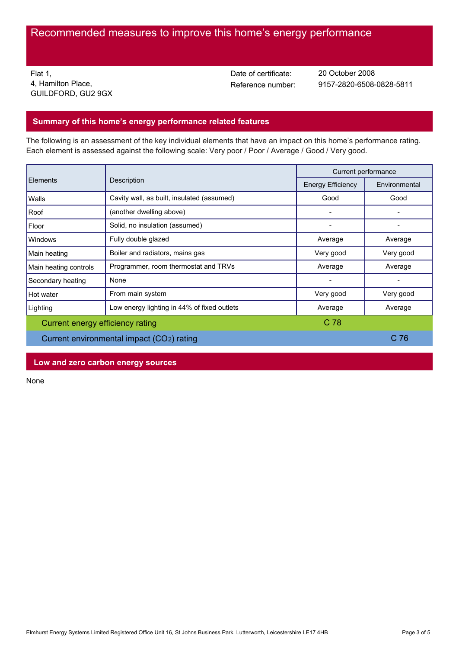Flat 1, 4, Hamilton Place, GUILDFORD, GU2 9GX Date of certificate:

Reference number: 9157-2820-6508-0828-5811 20 October 2008

# **Summary of this home's energy performance related features**

The following is an assessment of the key individual elements that have an impact on this home's performance rating. Each element is assessed against the following scale: Very poor / Poor / Average / Good / Very good.

| Description<br>Elements                   |                                             | Current performance |           |
|-------------------------------------------|---------------------------------------------|---------------------|-----------|
|                                           | <b>Energy Efficiency</b>                    | Environmental       |           |
| Walls                                     | Cavity wall, as built, insulated (assumed)  | Good                | Good      |
| Roof                                      | (another dwelling above)                    |                     |           |
| Floor                                     | Solid, no insulation (assumed)              |                     |           |
| Windows                                   | Fully double glazed                         | Average             | Average   |
| Main heating                              | Boiler and radiators, mains gas             | Very good           | Very good |
| Main heating controls                     | Programmer, room thermostat and TRVs        | Average             | Average   |
| Secondary heating                         | None                                        |                     | -         |
| Hot water                                 | From main system                            | Very good           | Very good |
| Lighting                                  | Low energy lighting in 44% of fixed outlets | Average             | Average   |
| Current energy efficiency rating          |                                             | C 78                |           |
| Current environmental impact (CO2) rating |                                             | C 76                |           |

**Low and zero carbon energy sources**

None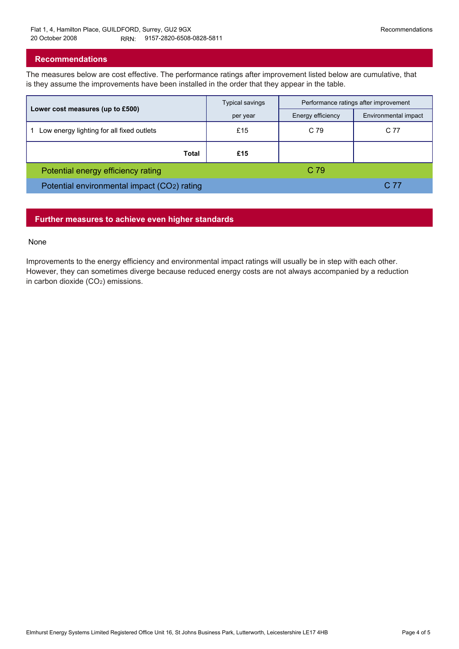## **Recommendations**

The measures below are cost effective. The performance ratings after improvement listed below are cumulative, that is they assume the improvements have been installed in the order that they appear in the table.

|                                             | <b>Typical savings</b> | Performance ratings after improvement |                      |
|---------------------------------------------|------------------------|---------------------------------------|----------------------|
| Lower cost measures (up to £500)            | per year               | Energy efficiency                     | Environmental impact |
| Low energy lighting for all fixed outlets   | £15                    | C 79                                  | C 77                 |
| Total                                       | £15                    |                                       |                      |
| Potential energy efficiency rating          |                        | C 79                                  |                      |
| Potential environmental impact (CO2) rating |                        |                                       | C 77                 |

# **Further measures to achieve even higher standards**

#### None

Improvements to the energy efficiency and environmental impact ratings will usually be in step with each other. However, they can sometimes diverge because reduced energy costs are not always accompanied by a reduction in carbon dioxide (CO2) emissions.